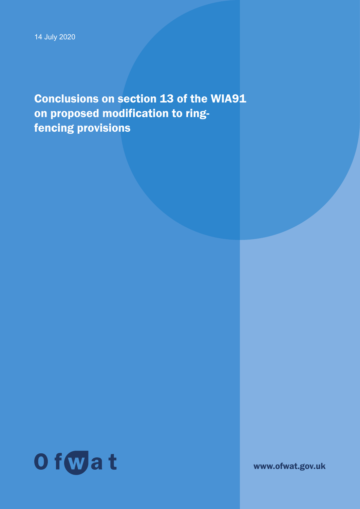Conclusions on section 13 of the WIA91 on proposed modification to ringfencing provisions



www.ofwat.gov.uk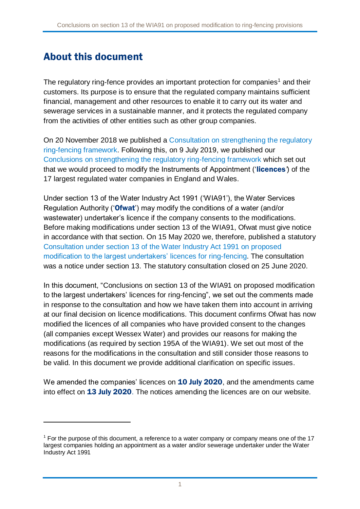# <span id="page-1-0"></span>About this document

The regulatory ring-fence provides an important protection for companies<sup>1</sup> and their customers. Its purpose is to ensure that the regulated company maintains sufficient financial, management and other resources to enable it to carry out its water and sewerage services in a sustainable manner, and it protects the regulated company from the activities of other entities such as other group companies.

On 20 November 2018 we published a [Consultation on strengthening the regulatory](https://www.ofwat.gov.uk/consultation/consultation-on-strengthening-the-regulatory-ring-fencing-framework/)  [ring-fencing framework.](https://www.ofwat.gov.uk/consultation/consultation-on-strengthening-the-regulatory-ring-fencing-framework/) Following this, on 9 July 2019, we published our [Conclusions on strengthening the regulatory ring-fencing framework](https://www.ofwat.gov.uk/consultation/consultation-on-strengthening-the-regulatory-ring-fencing-framework/#Outcome) which set out that we would proceed to modify the Instruments of Appointment ('licences*'*) of the 17 largest regulated water companies in England and Wales.

Under section 13 of the Water Industry Act 1991 ('WIA91'), the Water Services Regulation Authority ('Ofwat') may modify the conditions of a water (and/or wastewater) undertaker's licence if the company consents to the modifications. Before making modifications under section 13 of the WIA91, Ofwat must give notice in accordance with that section. On 15 May 2020 we, therefore, published a statutory [Consultation under section 13 of the Water Industry Act 1991 on proposed](https://www.ofwat.gov.uk/consultation/consultation-under-section-13-of-the-water-industry-act-1991-on-proposed-modification-to-the-largest-undertakers-licences-for-ring-fencing/)  [modification to the largest undertakers' licences for ring-fencing.](https://www.ofwat.gov.uk/consultation/consultation-under-section-13-of-the-water-industry-act-1991-on-proposed-modification-to-the-largest-undertakers-licences-for-ring-fencing/) The consultation was a notice under section 13. The statutory consultation closed on 25 June 2020.

In this document, "Conclusions on section 13 of the WIA91 on proposed modification to the largest undertakers' licences for ring-fencing", we set out the comments made in response to the consultation and how we have taken them into account in arriving at our final decision on licence modifications. This document confirms Ofwat has now modified the licences of all companies who have provided consent to the changes (all companies except Wessex Water) and provides our reasons for making the modifications (as required by section 195A of the WIA91). We set out most of the reasons for the modifications in the consultation and still consider those reasons to be valid. In this document we provide additional clarification on specific issues.

We amended the companies' licences on 10 July 2020, and the amendments came into effect on 13 July 2020. The notices amending the licences are on our website.

 $<sup>1</sup>$  For the purpose of this document, a reference to a water company or company means one of the 17</sup> largest companies holding an appointment as a water and/or sewerage undertaker under the Water Industry Act 1991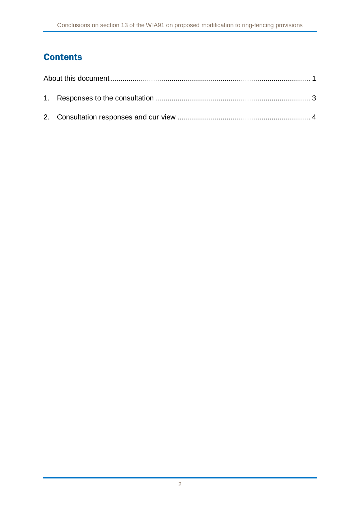## **Contents**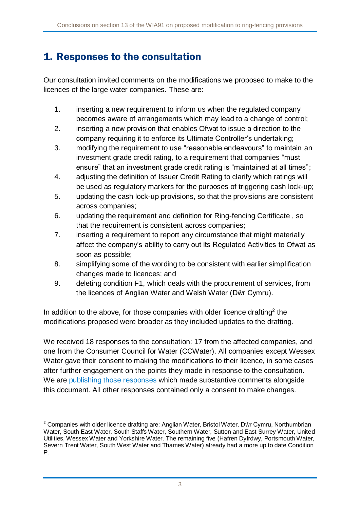# <span id="page-3-0"></span>1. Responses to the consultation

Our consultation invited comments on the modifications we proposed to make to the licences of the large water companies. These are:

- 1. inserting a new requirement to inform us when the regulated company becomes aware of arrangements which may lead to a change of control;
- 2. inserting a new provision that enables Ofwat to issue a direction to the company requiring it to enforce its Ultimate Controller's undertaking;
- 3. modifying the requirement to use "reasonable endeavours" to maintain an investment grade credit rating, to a requirement that companies "must ensure" that an investment grade credit rating is "maintained at all times";
- 4. adjusting the definition of Issuer Credit Rating to clarify which ratings will be used as regulatory markers for the purposes of triggering cash lock-up;
- 5. updating the cash lock-up provisions, so that the provisions are consistent across companies;
- 6. updating the requirement and definition for Ring-fencing Certificate , so that the requirement is consistent across companies;
- 7. inserting a requirement to report any circumstance that might materially affect the company's ability to carry out its Regulated Activities to Ofwat as soon as possible;
- 8. simplifying some of the wording to be consistent with earlier simplification changes made to licences; and
- 9. deleting condition F1, which deals with the procurement of services, from the licences of Anglian Water and Welsh Water (Dŵr Cymru).

In addition to the above, for those companies with older licence drafting<sup>2</sup> the modifications proposed were broader as they included updates to the drafting.

We received 18 responses to the consultation: 17 from the affected companies, and one from the Consumer Council for Water (CCWater). All companies except Wessex Water gave their consent to making the modifications to their licence, in some cases after further engagement on the points they made in response to the consultation. We are [publishing those responses](https://www.ofwat.gov.uk/consultation/consultation-under-section-13-of-the-water-industry-act-1991-on-proposed-modification-to-the-largest-undertakers-licences-for-ring-fencing/#Responses) which made substantive comments alongside this document. All other responses contained only a consent to make changes.

<sup>-</sup><sup>2</sup> Companies with older licence drafting are: Anglian Water, Bristol Water, Dŵr Cymru, Northumbrian Water, South East Water, South Staffs Water, Southern Water, Sutton and East Surrey Water, United Utilities, Wessex Water and Yorkshire Water. The remaining five (Hafren Dyfrdwy, Portsmouth Water, Severn Trent Water, South West Water and Thames Water) already had a more up to date Condition P.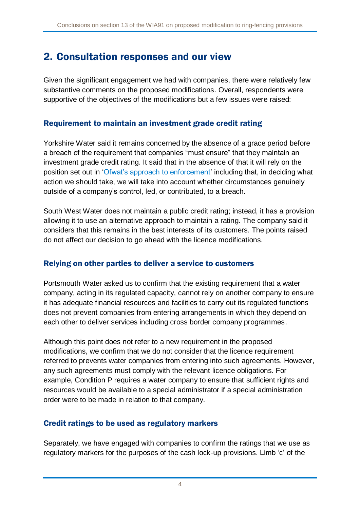# <span id="page-4-0"></span>2. Consultation responses and our view

Given the significant engagement we had with companies, there were relatively few substantive comments on the proposed modifications. Overall, respondents were supportive of the objectives of the modifications but a few issues were raised:

## Requirement to maintain an investment grade credit rating

Yorkshire Water said it remains concerned by the absence of a grace period before a breach of the requirement that companies "must ensure" that they maintain an investment grade credit rating. It said that in the absence of that it will rely on the position set out in ['Ofwat's approach to enforcement'](https://www.ofwat.gov.uk/wp-content/uploads/2015/11/Approach-to-enforcement.pdf) including that, in deciding what action we should take, we will take into account whether circumstances genuinely outside of a company's control, led, or contributed, to a breach.

South West Water does not maintain a public credit rating; instead, it has a provision allowing it to use an alternative approach to maintain a rating. The company said it considers that this remains in the best interests of its customers. The points raised do not affect our decision to go ahead with the licence modifications.

#### Relying on other parties to deliver a service to customers

Portsmouth Water asked us to confirm that the existing requirement that a water company, acting in its regulated capacity, cannot rely on another company to ensure it has adequate financial resources and facilities to carry out its regulated functions does not prevent companies from entering arrangements in which they depend on each other to deliver services including cross border company programmes.

Although this point does not refer to a new requirement in the proposed modifications, we confirm that we do not consider that the licence requirement referred to prevents water companies from entering into such agreements. However, any such agreements must comply with the relevant licence obligations. For example, Condition P requires a water company to ensure that sufficient rights and resources would be available to a special administrator if a special administration order were to be made in relation to that company.

## Credit ratings to be used as regulatory markers

Separately, we have engaged with companies to confirm the ratings that we use as regulatory markers for the purposes of the cash lock-up provisions. Limb 'c' of the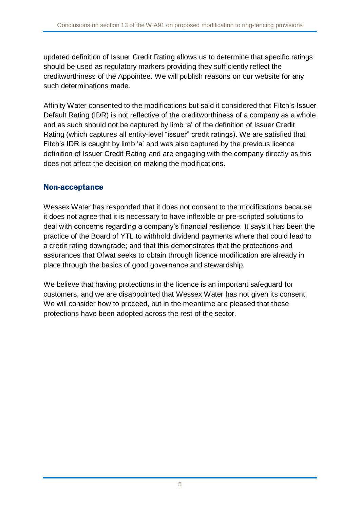updated definition of Issuer Credit Rating allows us to determine that specific ratings should be used as regulatory markers providing they sufficiently reflect the creditworthiness of the Appointee. We will publish reasons on our website for any such determinations made.

Affinity Water consented to the modifications but said it considered that Fitch's Issuer Default Rating (IDR) is not reflective of the creditworthiness of a company as a whole and as such should not be captured by limb 'a' of the definition of Issuer Credit Rating (which captures all entity-level "issuer" credit ratings). We are satisfied that Fitch's IDR is caught by limb 'a' and was also captured by the previous licence definition of Issuer Credit Rating and are engaging with the company directly as this does not affect the decision on making the modifications.

#### Non-acceptance

Wessex Water has responded that it does not consent to the modifications because it does not agree that it is necessary to have inflexible or pre-scripted solutions to deal with concerns regarding a company's financial resilience. It says it has been the practice of the Board of YTL to withhold dividend payments where that could lead to a credit rating downgrade; and that this demonstrates that the protections and assurances that Ofwat seeks to obtain through licence modification are already in place through the basics of good governance and stewardship.

We believe that having protections in the licence is an important safeguard for customers, and we are disappointed that Wessex Water has not given its consent. We will consider how to proceed, but in the meantime are pleased that these protections have been adopted across the rest of the sector.